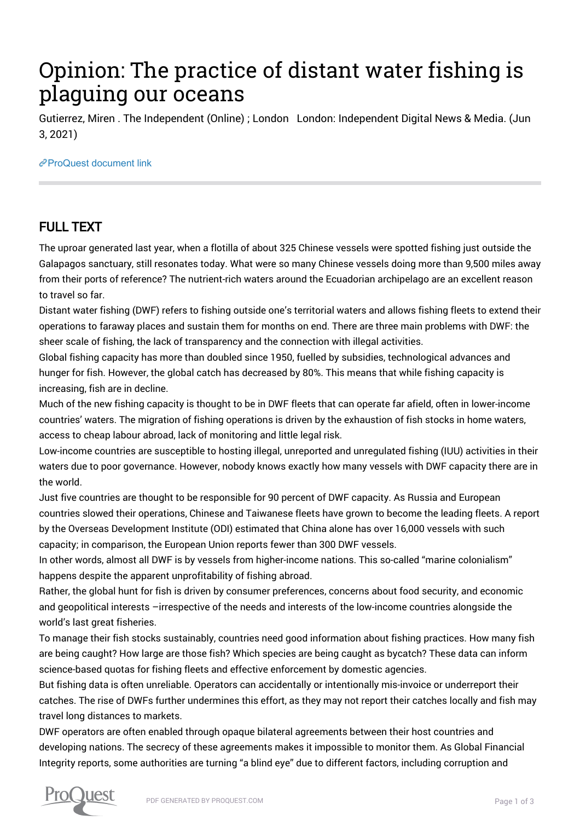## Opinion: The practice of distant water fishing is plaguing our oceans

Gutierrez, Miren . The Independent (Online) ; London London: Independent Digital News & Media. (Jun 3, 2021)

[ProQuest document link](http://132.174.250.227/other-sources/opinion-practice-distant-water-fishing-is/docview/2537012903/se-2?accountid=8394)

## FULL TEXT

The uproar generated last year, when a flotilla of about 325 Chinese vessels were spotted fishing just outside the Galapagos sanctuary, still resonates today. What were so many Chinese vessels doing more than 9,500 miles away from their ports of reference? The nutrient-rich waters around the Ecuadorian archipelago are an excellent reason to travel so far.

Distant water fishing (DWF) refers to fishing outside one's territorial waters and allows fishing fleets to extend their operations to faraway places and sustain them for months on end. There are three main problems with DWF: the sheer scale of fishing, the lack of transparency and the connection with illegal activities.

Global fishing capacity has more than doubled since 1950, fuelled by subsidies, technological advances and hunger for fish. However, the global catch has decreased by 80%. This means that while fishing capacity is increasing, fish are in decline.

Much of the new fishing capacity is thought to be in DWF fleets that can operate far afield, often in lower-income countries' waters. The migration of fishing operations is driven by the exhaustion of fish stocks in home waters, access to cheap labour abroad, lack of monitoring and little legal risk.

Low-income countries are susceptible to hosting illegal, unreported and unregulated fishing (IUU) activities in their waters due to poor governance. However, nobody knows exactly how many vessels with DWF capacity there are in the world.

Just five countries are thought to be responsible for 90 percent of DWF capacity. As Russia and European countries slowed their operations, Chinese and Taiwanese fleets have grown to become the leading fleets. A report by the Overseas Development Institute (ODI) estimated that China alone has over 16,000 vessels with such capacity; in comparison, the European Union reports fewer than 300 DWF vessels.

In other words, almost all DWF is by vessels from higher-income nations. This so-called "marine colonialism" happens despite the apparent unprofitability of fishing abroad.

Rather, the global hunt for fish is driven by consumer preferences, concerns about food security, and economic and geopolitical interests –irrespective of the needs and interests of the low-income countries alongside the world's last great fisheries.

To manage their fish stocks sustainably, countries need good information about fishing practices. How many fish are being caught? How large are those fish? Which species are being caught as bycatch? These data can inform science-based quotas for fishing fleets and effective enforcement by domestic agencies.

But fishing data is often unreliable. Operators can accidentally or intentionally mis-invoice or underreport their catches. The rise of DWFs further undermines this effort, as they may not report their catches locally and fish may travel long distances to markets.

DWF operators are often enabled through opaque bilateral agreements between their host countries and developing nations. The secrecy of these agreements makes it impossible to monitor them. As Global Financial Integrity reports, some authorities are turning "a blind eye" due to different factors, including corruption and

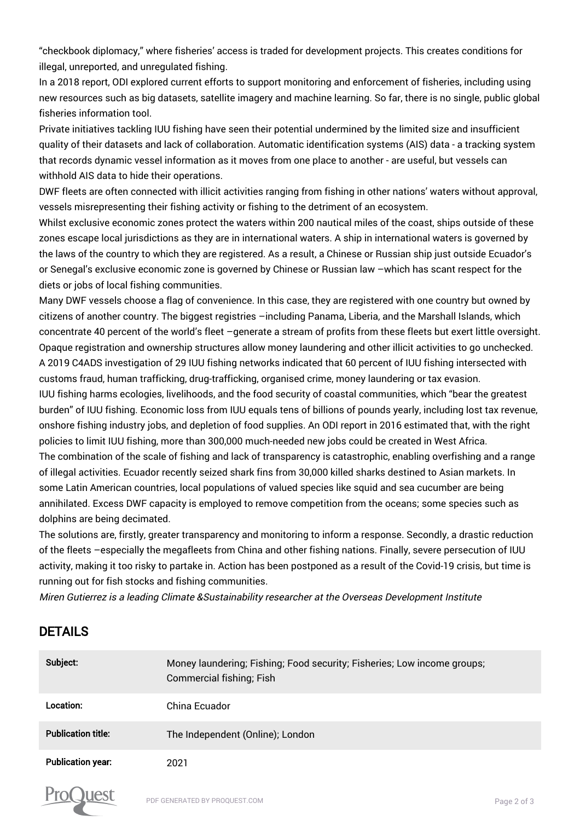"checkbook diplomacy," where fisheries' access is traded for development projects. This creates conditions for illegal, unreported, and unregulated fishing.

In a 2018 report, ODI explored current efforts to support monitoring and enforcement of fisheries, including using new resources such as big datasets, satellite imagery and machine learning. So far, there is no single, public global fisheries information tool.

Private initiatives tackling IUU fishing have seen their potential undermined by the limited size and insufficient quality of their datasets and lack of collaboration. Automatic identification systems (AIS) data - a tracking system that records dynamic vessel information as it moves from one place to another - are useful, but vessels can withhold AIS data to hide their operations.

DWF fleets are often connected with illicit activities ranging from fishing in other nations' waters without approval, vessels misrepresenting their fishing activity or fishing to the detriment of an ecosystem.

Whilst exclusive economic zones protect the waters within 200 nautical miles of the coast, ships outside of these zones escape local jurisdictions as they are in international waters. A ship in international waters is governed by the laws of the country to which they are registered. As a result, a Chinese or Russian ship just outside Ecuador's or Senegal's exclusive economic zone is governed by Chinese or Russian law –which has scant respect for the diets or jobs of local fishing communities.

Many DWF vessels choose a flag of convenience. In this case, they are registered with one country but owned by citizens of another country. The biggest registries -including Panama, Liberia, and the Marshall Islands, which concentrate 40 percent of the world's fleet –generate a stream of profits from these fleets but exert little oversight. Opaque registration and ownership structures allow money laundering and other illicit activities to go unchecked. A 2019 C4ADS investigation of 29 IUU fishing networks indicated that 60 percent of IUU fishing intersected with customs fraud, human trafficking, drug-trafficking, organised crime, money laundering or tax evasion.

IUU fishing harms ecologies, livelihoods, and the food security of coastal communities, which "bear the greatest burden" of IUU fishing. Economic loss from IUU equals tens of billions of pounds yearly, including lost tax revenue, onshore fishing industry jobs, and depletion of food supplies. An ODI report in 2016 estimated that, with the right policies to limit IUU fishing, more than 300,000 much-needed new jobs could be created in West Africa.

The combination of the scale of fishing and lack of transparency is catastrophic, enabling overfishing and a range of illegal activities. Ecuador recently seized shark fins from 30,000 killed sharks destined to Asian markets. In some Latin American countries, local populations of valued species like squid and sea cucumber are being annihilated. Excess DWF capacity is employed to remove competition from the oceans; some species such as dolphins are being decimated.

The solutions are, firstly, greater transparency and monitoring to inform a response. Secondly, a drastic reduction of the fleets –especially the megafleets from China and other fishing nations. Finally, severe persecution of IUU activity, making it too risky to partake in. Action has been postponed as a result of the Covid-19 crisis, but time is running out for fish stocks and fishing communities.

Miren Gutierrez is a leading Climate &Sustainability researcher at the Overseas Development Institute

## DETAILS

| Subject:                  | Money laundering; Fishing; Food security; Fisheries; Low income groups;<br>Commercial fishing; Fish |
|---------------------------|-----------------------------------------------------------------------------------------------------|
| Location:                 | China Ecuador                                                                                       |
| <b>Publication title:</b> | The Independent (Online); London                                                                    |
| <b>Publication year:</b>  | 2021                                                                                                |